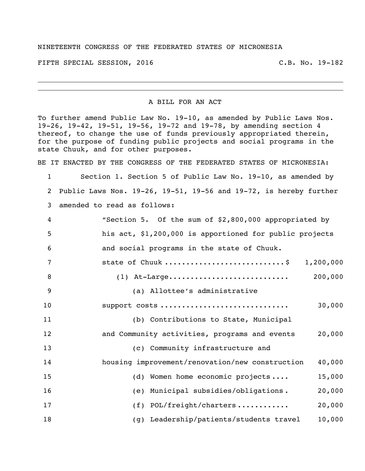## NINETEENTH CONGRESS OF THE FEDERATED STATES OF MICRONESIA

FIFTH SPECIAL SESSION, 2016 C.B. No. 19-182

## A BILL FOR AN ACT

To further amend Public Law No. 19-10, as amended by Public Laws Nos. 19-26, 19-42, 19-51, 19-56, 19-72 and 19-78, by amending section 4 thereof, to change the use of funds previously appropriated therein, for the purpose of funding public projects and social programs in the state Chuuk, and for other purposes.

BE IT ENACTED BY THE CONGRESS OF THE FEDERATED STATES OF MICRONESIA:

 Section 1. Section 5 of Public Law No. 19-10, as amended by Public Laws Nos. 19-26, 19-51, 19-56 and 19-72, is hereby further amended to read as follows:

| 4  | "Section 5. Of the sum of \$2,800,000 appropriated by     |
|----|-----------------------------------------------------------|
| 5  | his act, \$1,200,000 is apportioned for public projects   |
| 6  | and social programs in the state of Chuuk.                |
| 7  | state of Chuuk \$ 1,200,000                               |
| 8  | 200,000<br>$(1)$ At-Large                                 |
| 9  | (a) Allottee's administrative                             |
| 10 | support costs<br>30,000                                   |
| 11 | (b) Contributions to State, Municipal                     |
| 12 | and Community activities, programs and events<br>20,000   |
| 13 | (c) Community infrastructure and                          |
| 14 | housing improvement/renovation/new construction<br>40,000 |
| 15 | (d) Women home economic projects<br>15,000                |
| 16 | (e) Municipal subsidies/obligations.<br>20,000            |
| 17 | (f) POL/freight/charters<br>20,000                        |
| 18 | (g) Leadership/patients/students travel<br>10,000         |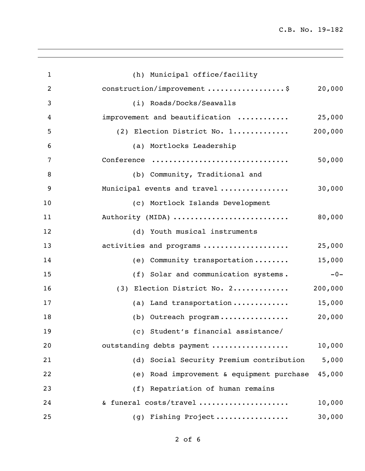| $\mathbf{1}$   | (h) Municipal office/facility             |         |
|----------------|-------------------------------------------|---------|
| $\overline{2}$ | construction/improvement \$               | 20,000  |
| 3              | (i) Roads/Docks/Seawalls                  |         |
|                |                                           |         |
| 4              | improvement and beautification            | 25,000  |
| 5              | (2) Election District No. 1               | 200,000 |
| 6              | (a) Mortlocks Leadership                  |         |
| 7              | Conference                                | 50,000  |
| 8              | (b) Community, Traditional and            |         |
| 9              | Municipal events and travel               | 30,000  |
| 10             | (c) Mortlock Islands Development          |         |
| 11             | Authority (MIDA)                          | 80,000  |
| 12             | (d) Youth musical instruments             |         |
| 13             | activities and programs                   | 25,000  |
| 14             | (e) Community transportation              | 15,000  |
| 15             | (f) Solar and communication systems.      | $-0-$   |
| 16             | (3) Election District No. 2               | 200,000 |
| 17             | (a) Land transportation                   | 15,000  |
| 18             | (b) Outreach program                      | 20,000  |
| 19             | (c) Student's financial assistance/       |         |
| 20             | outstanding debts payment                 | 10,000  |
| 21             | (d) Social Security Premium contribution  | 5,000   |
| 22             | (e) Road improvement & equipment purchase | 45,000  |
| 23             | (f) Repatriation of human remains         |         |
| 24             | & funeral costs/travel                    | 10,000  |
| 25             | (g) Fishing Project                       | 30,000  |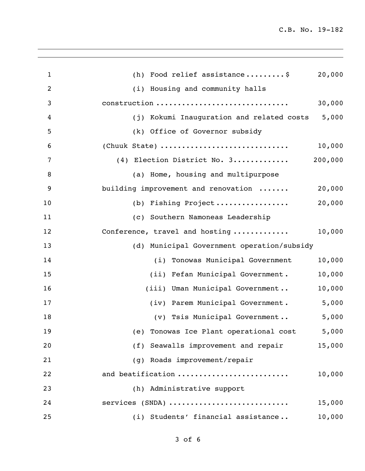| $\mathbf{1}$ | 20,000<br>(h) Food relief assistance\$          |
|--------------|-------------------------------------------------|
| 2            | (i) Housing and community halls                 |
| 3            | construction<br>30,000                          |
| 4            | (j) Kokumi Inauguration and related costs 5,000 |
| 5            | (k) Office of Governor subsidy                  |
| 6            | (Chuuk State)<br>10,000                         |
| 7            | $(4)$ Election District No. 3 200,000           |
| 8            | (a) Home, housing and multipurpose              |
| 9            | 20,000<br>building improvement and renovation   |
| 10           | 20,000<br>(b) Fishing Project                   |
| 11           | (c) Southern Namoneas Leadership                |
| 12           | 10,000<br>Conference, travel and hosting        |
| 13           | (d) Municipal Government operation/subsidy      |
| 14           | 10,000<br>(i) Tonowas Municipal Government      |
| 15           | 10,000<br>(ii) Fefan Municipal Government.      |
| 16           | 10,000<br>(iii) Uman Municipal Government       |
| 17           | (iv) Parem Municipal Government. 5,000          |
| 18           | 5,000<br>(v) Tsis Municipal Government          |
| 19           | (e) Tonowas Ice Plant operational cost<br>5,000 |
| 20           | (f) Seawalls improvement and repair<br>15,000   |
| 21           | (g) Roads improvement/repair                    |
| 22           | and beatification<br>10,000                     |
| 23           | (h) Administrative support                      |
| 24           | services (SNDA)<br>15,000                       |
| 25           | 10,000<br>(i) Students' financial assistance    |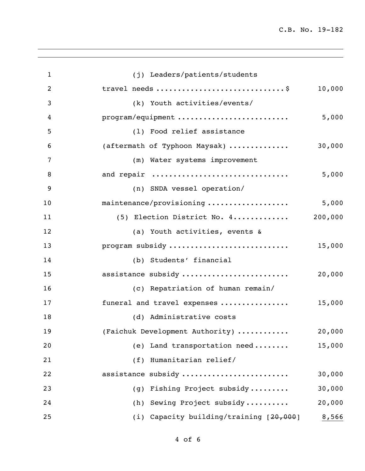| $\mathbf{1}$   | (j) Leaders/patients/students                    |  |
|----------------|--------------------------------------------------|--|
| $\overline{2}$ | travel needs \$<br>10,000                        |  |
| 3              | (k) Youth activities/events/                     |  |
| 4              | program/equipment<br>5,000                       |  |
| 5              | (1) Food relief assistance                       |  |
| 6              | 30,000<br>(aftermath of Typhoon Maysak)          |  |
| 7              | (m) Water systems improvement                    |  |
| 8              | and repair<br>5,000                              |  |
| 9              | (n) SNDA vessel operation/                       |  |
| 10             | maintenance/provisioning<br>5,000                |  |
| 11             | 200,000<br>(5) Election District No. 4           |  |
| 12             | (a) Youth activities, events &                   |  |
| 13             | program subsidy<br>15,000                        |  |
| 14             | (b) Students' financial                          |  |
| 15             | assistance subsidy<br>20,000                     |  |
| 16             | (c) Repatriation of human remain/                |  |
| 17             | funeral and travel expenses<br>15,000            |  |
| 18             | (d) Administrative costs                         |  |
| 19             | (Faichuk Development Authority)<br>20,000        |  |
| 20             | (e) Land transportation need<br>15,000           |  |
| 21             | (f) Humanitarian relief/                         |  |
| 22             | assistance subsidy<br>30,000                     |  |
| 23             | Fishing Project subsidy<br>30,000<br>(q)         |  |
| 24             | (h) Sewing Project subsidy<br>20,000             |  |
| 25             | (i) Capacity building/training [20,000]<br>8,566 |  |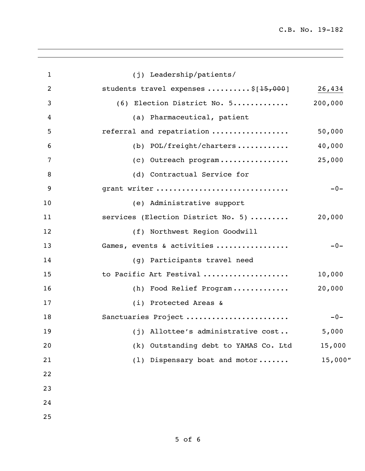C.B. No. 19-182

| $\mathbf{1}$   | (j) Leadership/patients/               |          |
|----------------|----------------------------------------|----------|
| $\overline{2}$ | students travel expenses \$ $[15,000]$ | 26,434   |
| 3              | (6) Election District No. 5            | 200,000  |
| 4              | (a) Pharmaceutical, patient            |          |
| 5              | referral and repatriation              | 50,000   |
| 6              | (b) POL/freight/charters               | 40,000   |
| 7              | (c) Outreach program                   | 25,000   |
| 8              | (d) Contractual Service for            |          |
| 9              | grant writer                           | $-0-$    |
| 10             | (e) Administrative support             |          |
| 11             | services (Election District No. 5)     | 20,000   |
| 12             | (f) Northwest Region Goodwill          |          |
| 13             | Games, events & activities             | $-0-$    |
| 14             | (g) Participants travel need           |          |
| 15             | to Pacific Art Festival                | 10,000   |
| 16             | (h) Food Relief Program                | 20,000   |
| 17             | (i) Protected Areas &                  |          |
| 18             | Sanctuaries Project                    | $-0-$    |
| 19             | (j) Allottee's administrative cost     | 5,000    |
| 20             | (k) Outstanding debt to YAMAS Co. Ltd  | 15,000   |
| 21             | (1) Dispensary boat and motor          | 15,000'' |
| 22             |                                        |          |
| 23             |                                        |          |
| 24             |                                        |          |
| 25             |                                        |          |